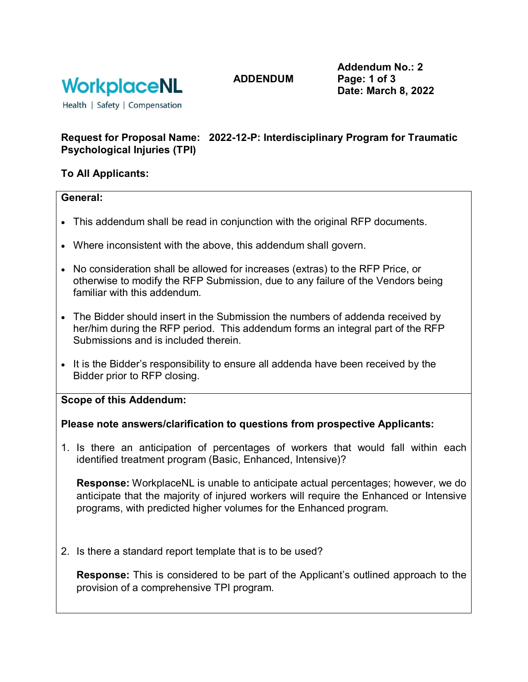

**ADDENDUM**

**Addendum No.: 2 Page: 1 of 3 Date: March 8, 2022**

Health | Safety | Compensation

# **Request for Proposal Name: 2022-12-P: Interdisciplinary Program for Traumatic Psychological Injuries (TPI)**

# **To All Applicants:**

#### **General:**

- This addendum shall be read in conjunction with the original RFP documents.
- Where inconsistent with the above, this addendum shall govern.
- No consideration shall be allowed for increases (extras) to the RFP Price, or otherwise to modify the RFP Submission, due to any failure of the Vendors being familiar with this addendum.
- The Bidder should insert in the Submission the numbers of addenda received by her/him during the RFP period. This addendum forms an integral part of the RFP Submissions and is included therein.
- It is the Bidder's responsibility to ensure all addenda have been received by the Bidder prior to RFP closing.

**Scope of this Addendum:**

### **Please note answers/clarification to questions from prospective Applicants:**

1. Is there an anticipation of percentages of workers that would fall within each identified treatment program (Basic, Enhanced, Intensive)?

**Response:** WorkplaceNL is unable to anticipate actual percentages; however, we do anticipate that the majority of injured workers will require the Enhanced or Intensive programs, with predicted higher volumes for the Enhanced program.

2. Is there a standard report template that is to be used?

**Response:** This is considered to be part of the Applicant's outlined approach to the provision of a comprehensive TPI program.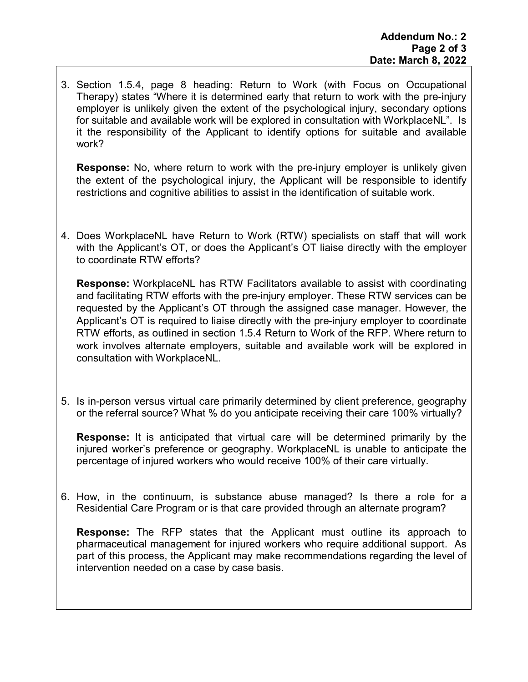3. Section 1.5.4, page 8 heading: Return to Work (with Focus on Occupational Therapy) states "Where it is determined early that return to work with the pre-injury employer is unlikely given the extent of the psychological injury, secondary options for suitable and available work will be explored in consultation with WorkplaceNL". Is it the responsibility of the Applicant to identify options for suitable and available work?

**Response:** No, where return to work with the pre-injury employer is unlikely given the extent of the psychological injury, the Applicant will be responsible to identify restrictions and cognitive abilities to assist in the identification of suitable work.

4. Does WorkplaceNL have Return to Work (RTW) specialists on staff that will work with the Applicant's OT, or does the Applicant's OT liaise directly with the employer to coordinate RTW efforts?

**Response:** WorkplaceNL has RTW Facilitators available to assist with coordinating and facilitating RTW efforts with the pre-injury employer. These RTW services can be requested by the Applicant's OT through the assigned case manager. However, the Applicant's OT is required to liaise directly with the pre-injury employer to coordinate RTW efforts, as outlined in section 1.5.4 Return to Work of the RFP. Where return to work involves alternate employers, suitable and available work will be explored in consultation with WorkplaceNL.

5. Is in-person versus virtual care primarily determined by client preference, geography or the referral source? What % do you anticipate receiving their care 100% virtually?

**Response:** It is anticipated that virtual care will be determined primarily by the injured worker's preference or geography. WorkplaceNL is unable to anticipate the percentage of injured workers who would receive 100% of their care virtually.

6. How, in the continuum, is substance abuse managed? Is there a role for a Residential Care Program or is that care provided through an alternate program?

**Response:** The RFP states that the Applicant must outline its approach to pharmaceutical management for injured workers who require additional support. As part of this process, the Applicant may make recommendations regarding the level of intervention needed on a case by case basis.